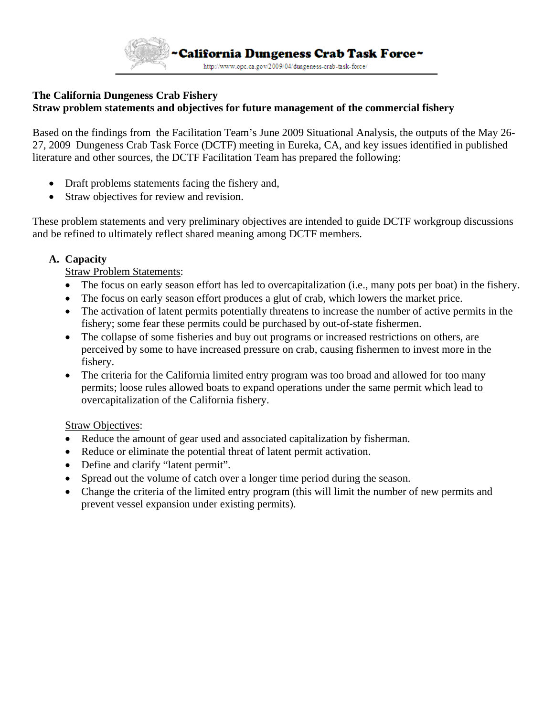

# **The California Dungeness Crab Fishery Straw problem statements and objectives for future management of the commercial fishery**

Based on the findings from the Facilitation Team's June 2009 Situational Analysis, the outputs of the May 26- 27, 2009 Dungeness Crab Task Force (DCTF) meeting in Eureka, CA, and key issues identified in published literature and other sources, the DCTF Facilitation Team has prepared the following:

- Draft problems statements facing the fishery and,
- Straw objectives for review and revision.

These problem statements and very preliminary objectives are intended to guide DCTF workgroup discussions and be refined to ultimately reflect shared meaning among DCTF members.

### **A. Capacity**

### Straw Problem Statements:

- The focus on early season effort has led to overcapitalization (i.e., many pots per boat) in the fishery.
- The focus on early season effort produces a glut of crab, which lowers the market price.
- The activation of latent permits potentially threatens to increase the number of active permits in the fishery; some fear these permits could be purchased by out-of-state fishermen.
- The collapse of some fisheries and buy out programs or increased restrictions on others, are perceived by some to have increased pressure on crab, causing fishermen to invest more in the fishery.
- The criteria for the California limited entry program was too broad and allowed for too many permits; loose rules allowed boats to expand operations under the same permit which lead to overcapitalization of the California fishery.

### Straw Objectives:

- Reduce the amount of gear used and associated capitalization by fisherman.
- Reduce or eliminate the potential threat of latent permit activation.
- Define and clarify "latent permit".
- Spread out the volume of catch over a longer time period during the season.
- Change the criteria of the limited entry program (this will limit the number of new permits and prevent vessel expansion under existing permits).